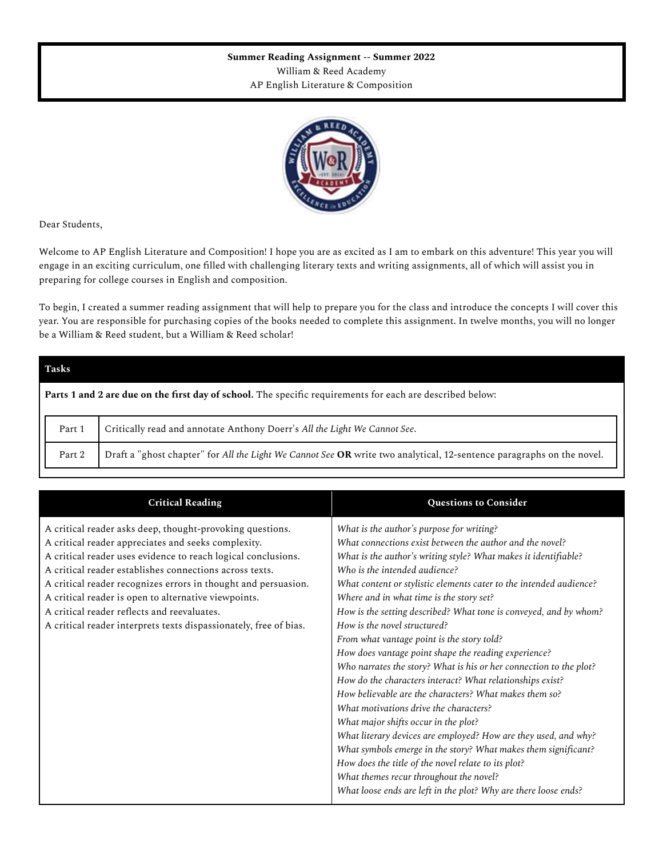## **Summer Reading Assignment -- Summer 2022** William & Reed Academy AP English Literature & Composition



Dear Students,

Welcome to AP English Literature and Composition! I hope you are as excited as I am to embark on this adventure! This year you will engage in an exciting curriculum, one filled with challenging literary texts and writing assignments, all of which will assist you in preparing for college courses in English and composition.

To begin, I created a summer reading assignment that will help to prepare you for the class and introduce the concepts I will cover this year. You are responsible for purchasing copies of the books needed to complete this assignment. In twelve months, you will no longer be a William & Reed student, but a William & Reed scholar!

| <b>Tasks</b>                                                                                              |                                                                                                                       |  |  |  |  |
|-----------------------------------------------------------------------------------------------------------|-----------------------------------------------------------------------------------------------------------------------|--|--|--|--|
| Parts 1 and 2 are due on the first day of school. The specific requirements for each are described below: |                                                                                                                       |  |  |  |  |
| Part 1                                                                                                    | Critically read and annotate Anthony Doerr's All the Light We Cannot See.                                             |  |  |  |  |
| Part 2                                                                                                    | Draft a "ghost chapter" for All the Light We Cannot See OR write two analytical, 12-sentence paragraphs on the novel. |  |  |  |  |

| <b>Critical Reading</b>                                                                                                                                                                                                                                                                                                                                                                                                                                                                    | <b>Questions to Consider</b>                                                                                                                                                                                                                                                                                                                                                                                                                                                                                                                                                                                                                                                                                                                                                                                                                                                                                                                                                                                                                                                                                                    |
|--------------------------------------------------------------------------------------------------------------------------------------------------------------------------------------------------------------------------------------------------------------------------------------------------------------------------------------------------------------------------------------------------------------------------------------------------------------------------------------------|---------------------------------------------------------------------------------------------------------------------------------------------------------------------------------------------------------------------------------------------------------------------------------------------------------------------------------------------------------------------------------------------------------------------------------------------------------------------------------------------------------------------------------------------------------------------------------------------------------------------------------------------------------------------------------------------------------------------------------------------------------------------------------------------------------------------------------------------------------------------------------------------------------------------------------------------------------------------------------------------------------------------------------------------------------------------------------------------------------------------------------|
| A critical reader asks deep, thought-provoking questions.<br>A critical reader appreciates and seeks complexity.<br>A critical reader uses evidence to reach logical conclusions.<br>A critical reader establishes connections across texts.<br>A critical reader recognizes errors in thought and persuasion.<br>A critical reader is open to alternative viewpoints.<br>A critical reader reflects and reevaluates.<br>A critical reader interprets texts dispassionately, free of bias. | What is the author's purpose for writing?<br>What connections exist between the author and the novel?<br>What is the author's writing style? What makes it identifiable?<br>Who is the intended audience?<br>What content or stylistic elements cater to the intended audience?<br>Where and in what time is the story set?<br>How is the setting described? What tone is conveyed, and by whom?<br>How is the novel structured?<br>From what vantage point is the story told?<br>How does vantage point shape the reading experience?<br>Who narrates the story? What is his or her connection to the plot?<br>How do the characters interact? What relationships exist?<br>How believable are the characters? What makes them so?<br>What motivations drive the characters?<br>What major shifts occur in the plot?<br>What literary devices are employed? How are they used, and why?<br>What symbols emerge in the story? What makes them significant?<br>How does the title of the novel relate to its plot?<br>What themes recur throughout the novel?<br>What loose ends are left in the plot? Why are there loose ends? |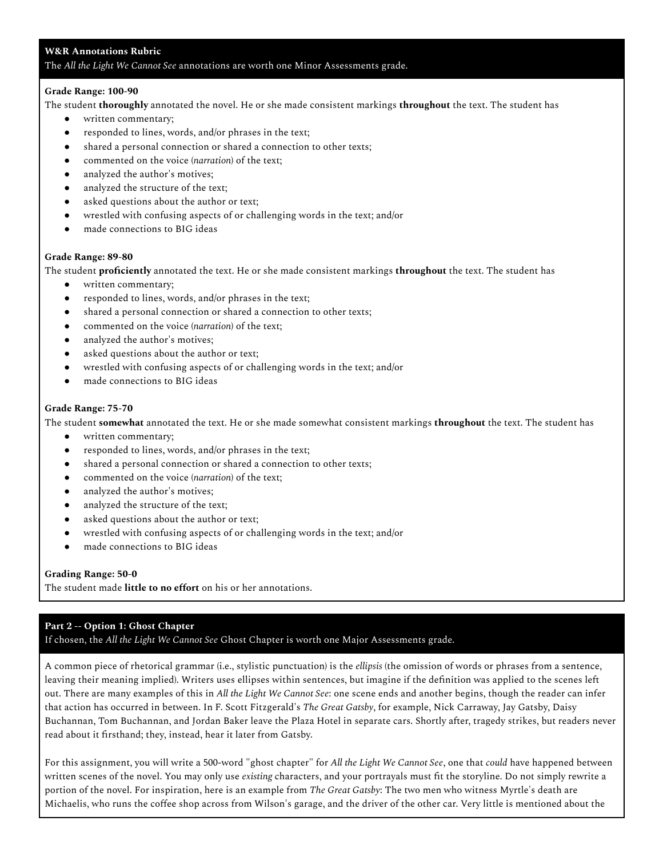## **W&R Annotations Rubric**

The *All the Light We Cannot See* annotations are worth one Minor Assessments grade.

### **Grade Range: 100-90**

The student **thoroughly** annotated the novel. He or she made consistent markings **throughout** the text. The student has

- written commentary;
- responded to lines, words, and/or phrases in the text;
- shared a personal connection or shared a connection to other texts;
- commented on the voice (*narration*) of the text;
- analyzed the author's motives;
- analyzed the structure of the text;
- asked questions about the author or text;
- wrestled with confusing aspects of or challenging words in the text; and/or
- made connections to BIG ideas

### **Grade Range: 89-80**

The student **proficiently** annotated the text. He or she made consistent markings **throughout** the text. The student has

- written commentary;
- responded to lines, words, and/or phrases in the text;
- shared a personal connection or shared a connection to other texts;
- commented on the voice (*narration*) of the text;
- analyzed the author's motives;
- asked questions about the author or text;
- wrestled with confusing aspects of or challenging words in the text; and/or
- made connections to BIG ideas

### **Grade Range: 75-70**

The student **somewhat** annotated the text. He or she made somewhat consistent markings **throughout** the text. The student has

- written commentary;
- responded to lines, words, and/or phrases in the text;
- shared a personal connection or shared a connection to other texts;
- commented on the voice (*narration*) of the text;
- analyzed the author's motives;
- analyzed the structure of the text;
- asked questions about the author or text;
- wrestled with confusing aspects of or challenging words in the text; and/or
- made connections to BIG ideas

### **Grading Range: 50-0**

The student made **little to no effort** on his or her annotations.

# **Part 2 -- Option 1: Ghost Chapter**

If chosen, the *All the Light We Cannot See* Ghost Chapter is worth one Major Assessments grade.

A common piece of rhetorical grammar (i.e., stylistic punctuation) is the *ellipsis* (the omission of words or phrases from a sentence, leaving their meaning implied). Writers uses ellipses within sentences, but imagine if the definition was applied to the scenes left out. There are many examples of this in *All the Light We Cannot See*: one scene ends and another begins, though the reader can infer that action has occurred in between. In F. Scott Fitzgerald's *The Great Gatsby*, for example, Nick Carraway, Jay Gatsby, Daisy Buchannan, Tom Buchannan, and Jordan Baker leave the Plaza Hotel in separate cars. Shortly after, tragedy strikes, but readers never read about it firsthand; they, instead, hear it later from Gatsby.

For this assignment, you will write a 500-word "ghost chapter" for *All the Light We Cannot See*, one that *could* have happened between written scenes of the novel. You may only use *existing* characters, and your portrayals must fit the storyline. Do not simply rewrite a portion of the novel. For inspiration, here is an example from *The Great Gatsby*: The two men who witness Myrtle's death are Michaelis, who runs the coffee shop across from Wilson's garage, and the driver of the other car. Very little is mentioned about the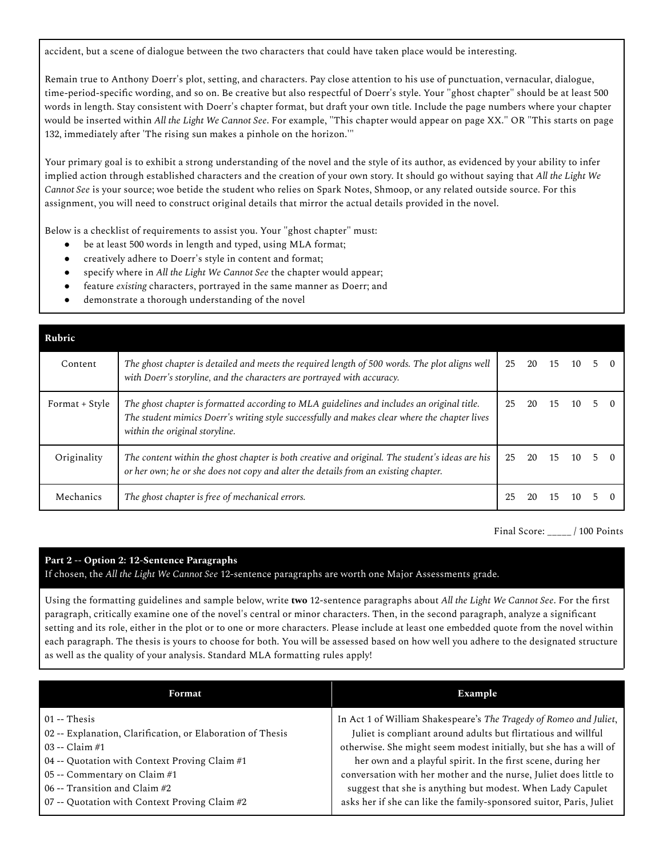accident, but a scene of dialogue between the two characters that could have taken place would be interesting.

Remain true to Anthony Doerr's plot, setting, and characters. Pay close attention to his use of punctuation, vernacular, dialogue, time-period-specific wording, and so on. Be creative but also respectful of Doerr's style. Your "ghost chapter" should be at least 500 words in length. Stay consistent with Doerr's chapter format, but draft your own title. Include the page numbers where your chapter would be inserted within *All the Light We Cannot See*. For example, "This chapter would appear on page XX." OR "This starts on page 132, immediately after 'The rising sun makes a pinhole on the horizon.'"

Your primary goal is to exhibit a strong understanding of the novel and the style of its author, as evidenced by your ability to infer implied action through established characters and the creation of your own story. It should go without saying that *All the Light We Cannot See* is your source; woe betide the student who relies on Spark Notes, Shmoop, or any related outside source. For this assignment, you will need to construct original details that mirror the actual details provided in the novel.

Below is a checklist of requirements to assist you. Your "ghost chapter" must:

- be at least 500 words in length and typed, using MLA format;
- creatively adhere to Doerr's style in content and format;
- specify where in *All the Light We Cannot See* the chapter would appear;
- feature *existing* characters, portrayed in the same manner as Doerr; and
- demonstrate a thorough understanding of the novel

| Rubric         |                                                                                                                                                                                                                               |    |    |    |       |             |  |
|----------------|-------------------------------------------------------------------------------------------------------------------------------------------------------------------------------------------------------------------------------|----|----|----|-------|-------------|--|
| Content        | The ghost chapter is detailed and meets the required length of 500 words. The plot aligns well<br>with Doerr's storyline, and the characters are portrayed with accuracy.                                                     | 25 | 20 | 15 | 10    | $5 \quad 0$ |  |
| Format + Style | The ghost chapter is formatted according to MLA guidelines and includes an original title.<br>The student mimics Doerr's writing style successfully and makes clear where the chapter lives<br>within the original storyline. | 25 | 20 |    | 15 10 | $5 \quad 0$ |  |
| Originality    | The content within the ghost chapter is both creative and original. The student's ideas are his<br>or her own; he or she does not copy and alter the details from an existing chapter.                                        | 25 | 20 | 15 | 10.   | $5 \quad 0$ |  |
| Mechanics      | The ghost chapter is free of mechanical errors.                                                                                                                                                                               | 25 | 20 | 15 | 10    |             |  |

Final Score: \_\_\_\_\_ / 100 Points

# **Part 2 -- Option 2: 12-Sentence Paragraphs**

If chosen, the *All the Light We Cannot See* 12-sentence paragraphs are worth one Major Assessments grade.

Using the formatting guidelines and sample below, write **two** 12-sentence paragraphs about *All the Light We Cannot See*. For the first paragraph, critically examine one of the novel's central or minor characters. Then, in the second paragraph, analyze a significant setting and its role, either in the plot or to one or more characters. Please include at least one embedded quote from the novel within each paragraph. The thesis is yours to choose for both. You will be assessed based on how well you adhere to the designated structure as well as the quality of your analysis. Standard MLA formatting rules apply!

| Format                                                     | Example                                                             |  |  |  |  |  |
|------------------------------------------------------------|---------------------------------------------------------------------|--|--|--|--|--|
| $01 -$ Thesis                                              | In Act 1 of William Shakespeare's The Tragedy of Romeo and Juliet,  |  |  |  |  |  |
| 02 -- Explanation, Clarification, or Elaboration of Thesis | Juliet is compliant around adults but flirtatious and willful       |  |  |  |  |  |
| $03 - Claim #1$                                            | otherwise. She might seem modest initially, but she has a will of   |  |  |  |  |  |
| 04 -- Quotation with Context Proving Claim #1              | her own and a playful spirit. In the first scene, during her        |  |  |  |  |  |
| 05 -- Commentary on Claim #1                               | conversation with her mother and the nurse, Juliet does little to   |  |  |  |  |  |
| 06 -- Transition and Claim $#2$                            | suggest that she is anything but modest. When Lady Capulet          |  |  |  |  |  |
| 07 -- Quotation with Context Proving Claim #2              | asks her if she can like the family-sponsored suitor, Paris, Juliet |  |  |  |  |  |